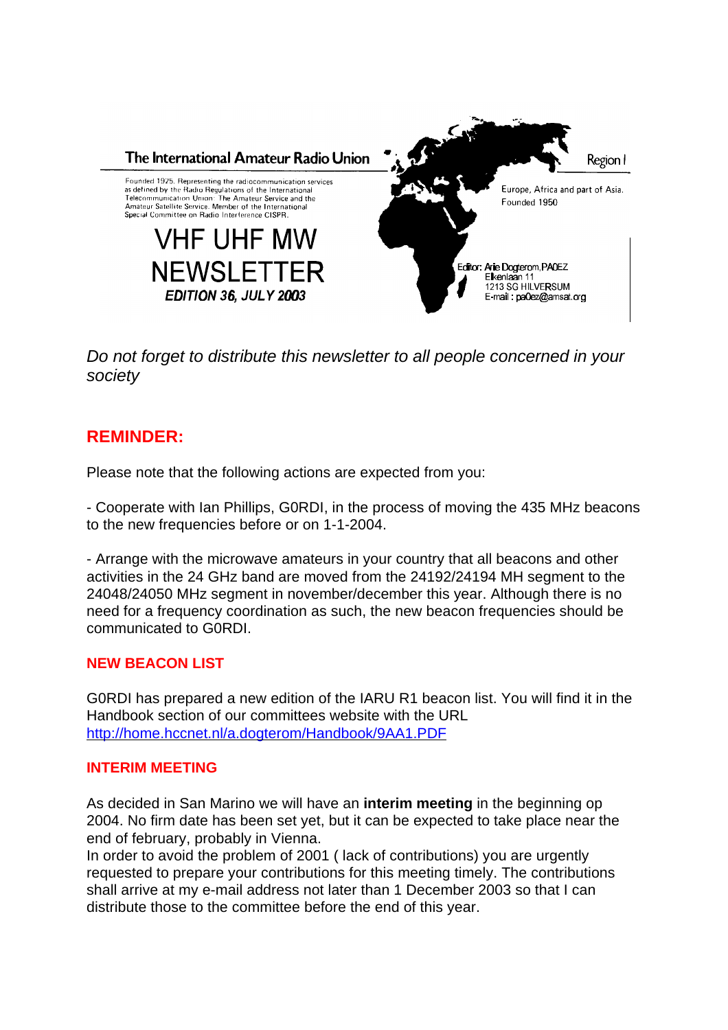

*Do not forget to distribute this newsletter to all people concerned in your society*

# **REMINDER:**

Please note that the following actions are expected from you:

- Cooperate with Ian Phillips, G0RDI, in the process of moving the 435 MHz beacons to the new frequencies before or on 1-1-2004.

- Arrange with the microwave amateurs in your country that all beacons and other activities in the 24 GHz band are moved from the 24192/24194 MH segment to the 24048/24050 MHz segment in november/december this year. Although there is no need for a frequency coordination as such, the new beacon frequencies should be communicated to G0RDI.

## **NEW BEACON LIST**

G0RDI has prepared a new edition of the IARU R1 beacon list. You will find it in the Handbook section of our committees website with the URL http://home.hccnet.nl/a.dogterom/Handbook/9AA1.PDF

## **INTERIM MEETING**

As decided in San Marino we will have an **interim meeting** in the beginning op 2004. No firm date has been set yet, but it can be expected to take place near the end of february, probably in Vienna.

In order to avoid the problem of 2001 ( lack of contributions) you are urgently requested to prepare your contributions for this meeting timely. The contributions shall arrive at my e-mail address not later than 1 December 2003 so that I can distribute those to the committee before the end of this year.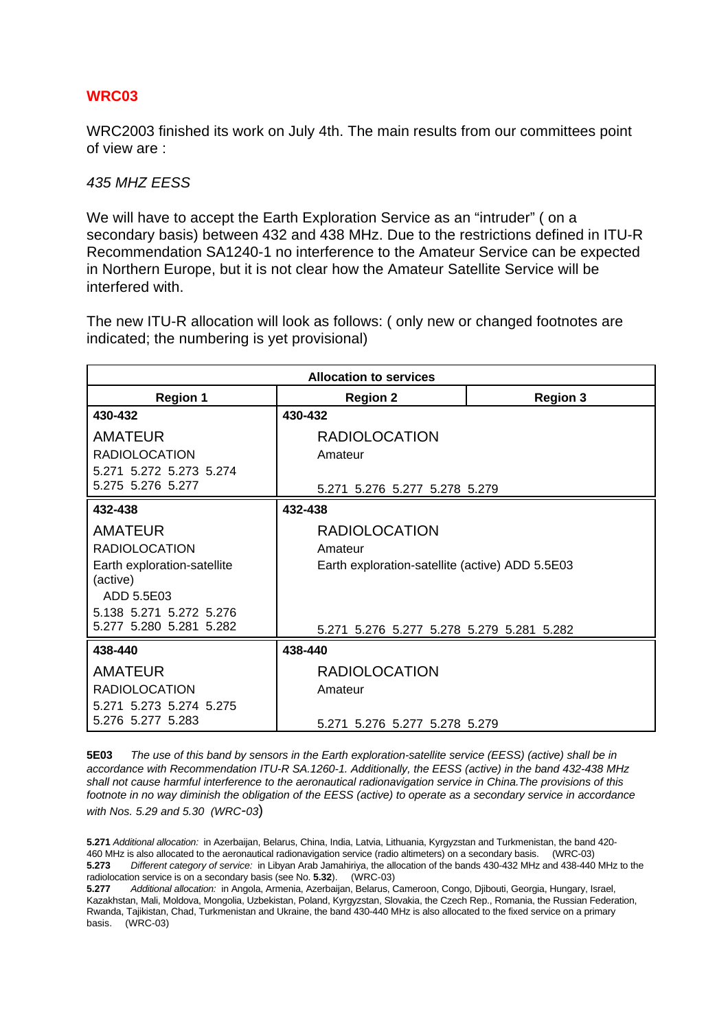### **WRC03**

WRC2003 finished its work on July 4th. The main results from our committees point of view are :

#### *435 MHZ EESS*

We will have to accept the Earth Exploration Service as an "intruder" ( on a secondary basis) between 432 and 438 MHz. Due to the restrictions defined in ITU-R Recommendation SA1240-1 no interference to the Amateur Service can be expected in Northern Europe, but it is not clear how the Amateur Satellite Service will be interfered with.

The new ITU-R allocation will look as follows: ( only new or changed footnotes are indicated; the numbering is yet provisional)

| <b>Allocation to services</b> |                                                 |                               |  |
|-------------------------------|-------------------------------------------------|-------------------------------|--|
| <b>Region 1</b>               | <b>Region 2</b>                                 | <b>Region 3</b>               |  |
| 430-432                       | 430-432                                         |                               |  |
| <b>AMATEUR</b>                | <b>RADIOLOCATION</b>                            |                               |  |
| <b>RADIOLOCATION</b>          | Amateur                                         |                               |  |
| 5.271 5.272 5.273 5.274       |                                                 |                               |  |
| 5.275 5.276 5.277             |                                                 | 5.271 5.276 5.277 5.278 5.279 |  |
| 432-438                       | 432-438                                         |                               |  |
| <b>AMATEUR</b>                | <b>RADIOLOCATION</b>                            |                               |  |
| <b>RADIOLOCATION</b>          | Amateur                                         |                               |  |
| Earth exploration-satellite   | Earth exploration-satellite (active) ADD 5.5E03 |                               |  |
| (active)<br>ADD 5.5E03        |                                                 |                               |  |
| 5.138 5.271 5.272 5.276       |                                                 |                               |  |
| 5.277 5.280 5.281 5.282       | 5.271 5.276 5.277 5.278 5.279 5.281 5.282       |                               |  |
| 438-440                       | 438-440                                         |                               |  |
| <b>AMATEUR</b>                | <b>RADIOLOCATION</b>                            |                               |  |
| <b>RADIOLOCATION</b>          | Amateur                                         |                               |  |
| 5.271 5.273 5.274 5.275       |                                                 |                               |  |
| 5.276 5.277 5.283             | 5.271 5.276 5.277 5.278 5.279                   |                               |  |

**5E03** *The use of this band by sensors in the Earth exploration-satellite service (EESS) (active) shall be in accordance with Recommendation ITU-R SA.1260-1. Additionally, the EESS (active) in the band 432-438 MHz shall not cause harmful interference to the aeronautical radionavigation service in China.The provisions of this footnote in no way diminish the obligation of the EESS (active) to operate as a secondary service in accordance with Nos. 5.29 and 5.30 (WRC-03*)

**5.271** *Additional allocation:* in Azerbaijan, Belarus, China, India, Latvia, Lithuania, Kyrgyzstan and Turkmenistan, the band 420- 460 MHz is also allocated to the aeronautical radionavigation service (radio altimeters) on a secondary basis. (WRC-03) **5.273** *Different category of service:* in Libyan Arab Jamahiriya, the allocation of the bands 430-432 MHz and 438-440 MHz to the radiolocation service is on a secondary basis (see No. **5.32**). (WRC-03)

**5.277** *Additional allocation:* in Angola, Armenia, Azerbaijan, Belarus, Cameroon, Congo, Djibouti, Georgia, Hungary, Israel, Kazakhstan, Mali, Moldova, Mongolia, Uzbekistan, Poland, Kyrgyzstan, Slovakia, the Czech Rep., Romania, the Russian Federation, Rwanda, Tajikistan, Chad, Turkmenistan and Ukraine, the band 430-440 MHz is also allocated to the fixed service on a primary basis. (WRC-03)